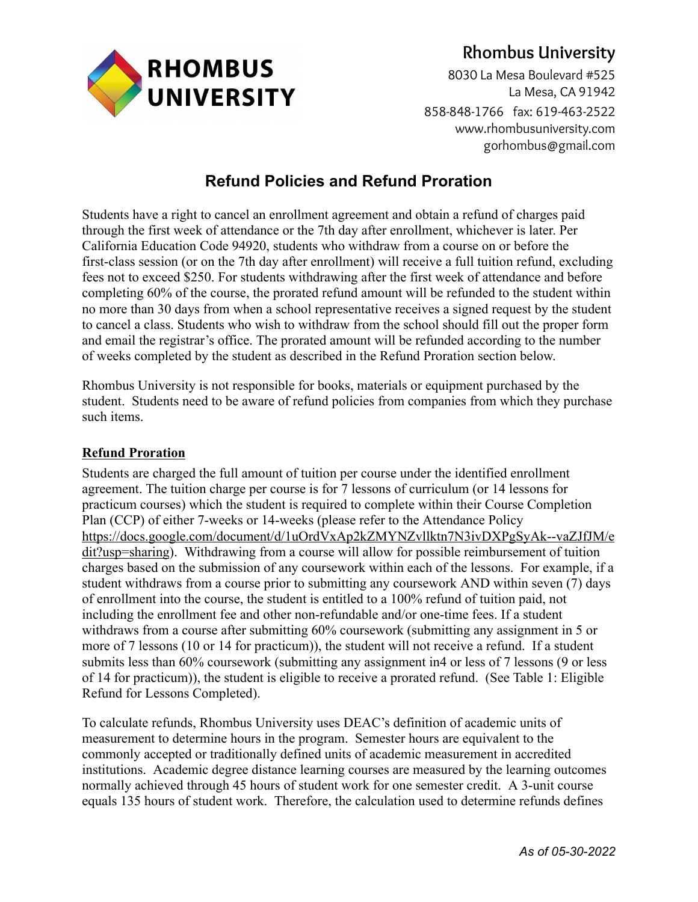

**Rhombus University**

8030 La Mesa Boulevard #525 La Mesa, CA 91942 858-848-1766 fax: 619-463-2522 www.rhombusuniversity.com gorhombus@gmail.com

## **Refund Policies and Refund Proration**

Students have a right to cancel an enrollment agreement and obtain a refund of charges paid through the first week of attendance or the 7th day after enrollment, whichever is later. Per California Education Code 94920, students who withdraw from a course on or before the first-class session (or on the 7th day after enrollment) will receive a full tuition refund, excluding fees not to exceed \$250. For students withdrawing after the first week of attendance and before completing 60% of the course, the prorated refund amount will be refunded to the student within no more than 30 days from when a school representative receives a signed request by the student to cancel a class. Students who wish to withdraw from the school should fill out the proper form and email the registrar's office. The prorated amount will be refunded according to the number of weeks completed by the student as described in the Refund Proration section below.

Rhombus University is not responsible for books, materials or equipment purchased by the student. Students need to be aware of refund policies from companies from which they purchase such items.

## **Refund Proration**

Students are charged the full amount of tuition per course under the identified enrollment agreement. The tuition charge per course is for 7 lessons of curriculum (or 14 lessons for practicum courses) which the student is required to complete within their Course Completion Plan (CCP) of either 7-weeks or 14-weeks (please refer to the Attendance Policy [https://docs.google.com/document/d/1uOrdVxAp2kZMYNZvllktn7N3ivDXPgSyAk--vaZJfJM/e](https://docs.google.com/document/d/1uOrdVxAp2kZMYNZvllktn7N3ivDXPgSyAk--vaZJfJM/edit?usp=sharing) [dit?usp=sharing](https://docs.google.com/document/d/1uOrdVxAp2kZMYNZvllktn7N3ivDXPgSyAk--vaZJfJM/edit?usp=sharing)). Withdrawing from a course will allow for possible reimbursement of tuition charges based on the submission of any coursework within each of the lessons. For example, if a student withdraws from a course prior to submitting any coursework AND within seven (7) days of enrollment into the course, the student is entitled to a 100% refund of tuition paid, not including the enrollment fee and other non-refundable and/or one-time fees. If a student withdraws from a course after submitting 60% coursework (submitting any assignment in 5 or more of 7 lessons (10 or 14 for practicum)), the student will not receive a refund. If a student submits less than 60% coursework (submitting any assignment in4 or less of 7 lessons (9 or less of 14 for practicum)), the student is eligible to receive a prorated refund. (See Table 1: Eligible Refund for Lessons Completed).

To calculate refunds, Rhombus University uses DEAC's definition of academic units of measurement to determine hours in the program. Semester hours are equivalent to the commonly accepted or traditionally defined units of academic measurement in accredited institutions. Academic degree distance learning courses are measured by the learning outcomes normally achieved through 45 hours of student work for one semester credit. A 3-unit course equals 135 hours of student work. Therefore, the calculation used to determine refunds defines